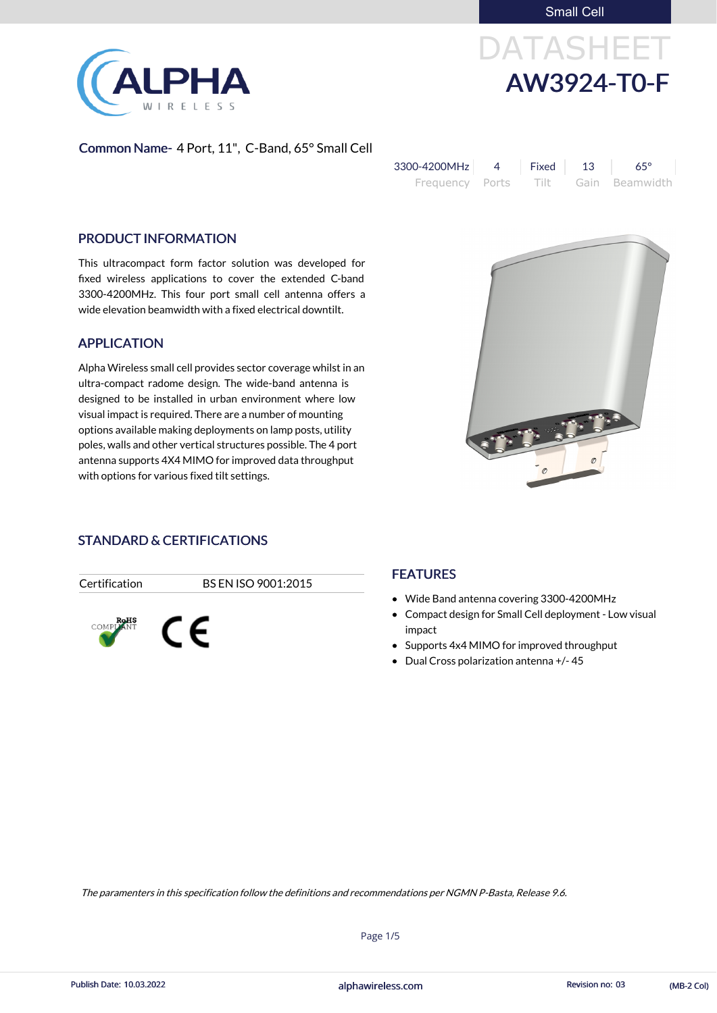Small Cell



# DATASHEET AW3924-T0-F

### Common Name- 4 Port, 11", C-Band, 65° Small Cell

| 3300-4200MHz    | Fixed l | - 13 | $65^\circ$     |
|-----------------|---------|------|----------------|
| Frequency Ports | Tilt -  |      | Gain Beamwidth |

### PRODUCT INFORMATION

This ultracompact form factor solution was developed for fixed wireless applications to cover the extended C-band 3300-4200MHz. This four port small cell antenna offers a wide elevation beamwidth with a fixed electrical downtilt.

### APPLICATION

Alpha Wireless small cell provides sector coverage whilst in an ultra-compact radome design. The wide-band antenna is designed to be installed in urban environment where low visual impact is required. There are a number of mounting options available making deployments on lamp posts, utility poles, walls and other vertical structures possible. The 4 port antenna supports 4X4 MIMO for improved data throughput with options for various fixed tilt settings.



### STANDARD & CERTIFICATIONS

Certification BS EN ISO 9001:2015



### **FEATURES**

- Wide Band antenna covering 3300-4200MHz
- Compact design for Small Cell deployment Low visual impact
- Supports 4x4 MIMO for improved throughput
- Dual Cross polarization antenna +/- 45

Page 1/5



The paramenters in this specification follow the definitions and recommendations per NGMN P-Basta, Release 9.6.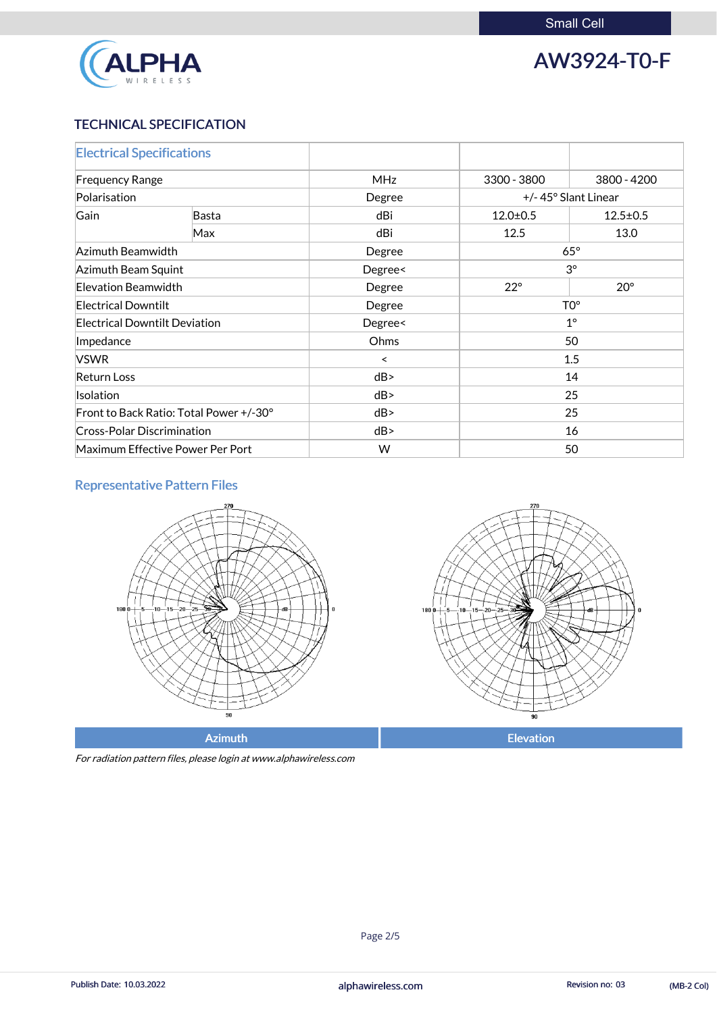

### AW3924-T0-F

### TECHNICAL SPECIFICATION

| <b>Electrical Specifications</b>        |       |            |                               |                |
|-----------------------------------------|-------|------------|-------------------------------|----------------|
| <b>Frequency Range</b>                  |       | <b>MHz</b> | 3300 - 3800                   | 3800 - 4200    |
| Polarisation                            |       | Degree     | +/-45° Slant Linear           |                |
| Gain                                    | Basta | dBi        | $12.0 \pm 0.5$                | $12.5 \pm 0.5$ |
|                                         | Max   | dBi        | 12.5                          | 13.0           |
| Azimuth Beamwidth                       |       | Degree     | $65^\circ$                    |                |
| Azimuth Beam Squint                     |       | Degree<    | $3^\circ$                     |                |
| Elevation Beamwidth                     |       | Degree     | $22^{\circ}$                  | $20^{\circ}$   |
| <b>Electrical Downtilt</b>              |       | Degree     | $\mathsf{T} \mathsf{O}^\circ$ |                |
| <b>Electrical Downtilt Deviation</b>    |       | Degree<    | $1^{\circ}$                   |                |
| Impedance                               |       | Ohms       | 50                            |                |
| <b>VSWR</b>                             |       | ≺          | 1.5                           |                |
| <b>Return Loss</b>                      |       | dB         | 14                            |                |
| <b>Isolation</b>                        |       | dB         | 25                            |                |
| Front to Back Ratio: Total Power +/-30° |       | dB         | 25                            |                |
| <b>Cross-Polar Discrimination</b>       |       | dB         | 16                            |                |
| Maximum Effective Power Per Port        |       | W          | 50                            |                |

### Representative Pattern Files





For radiation pattern files, please login at www.alphawireless.com

Azimuth **Elevation** 

#### alphawireless.com

Publish Date: 10.03.2022 **Revision no: 03** alphawireless.com **Revision no: 03** (MB-2 Col)

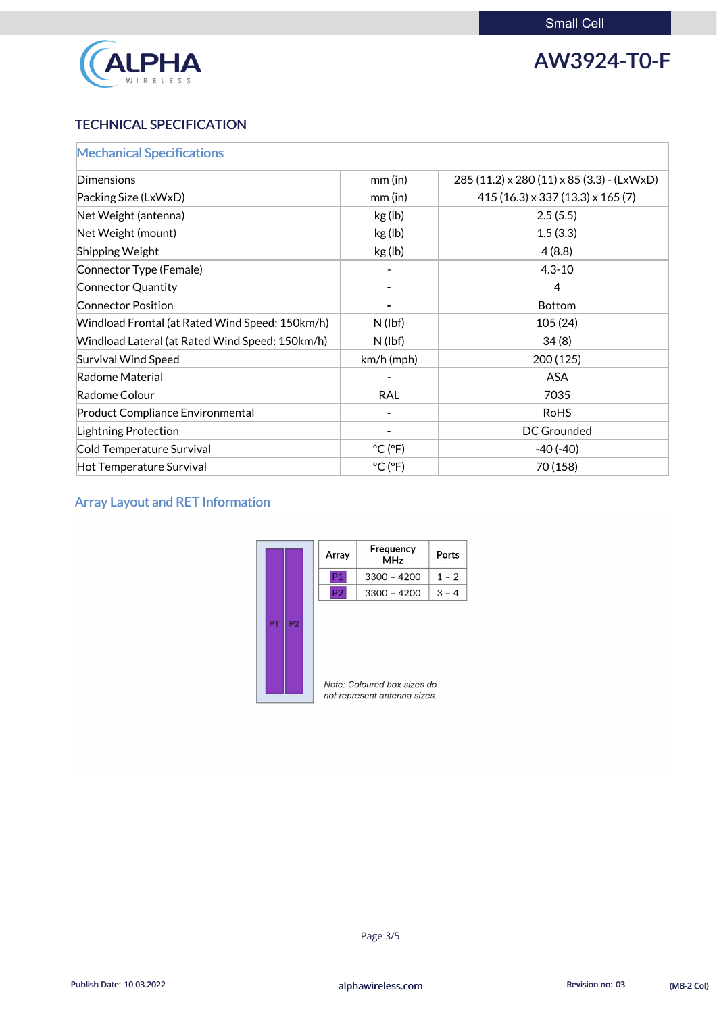

### AW3924-T0-F

### TECHNICAL SPECIFICATION

| <b>Mechanical Specifications</b>                |                              |                                                     |
|-------------------------------------------------|------------------------------|-----------------------------------------------------|
| Dimensions                                      | $mm$ (in)                    | $285(11.2) \times 280(11) \times 85(3.3)$ - (LxWxD) |
| Packing Size (LxWxD)                            | $mm$ (in)                    | $415(16.3) \times 337(13.3) \times 165(7)$          |
| Net Weight (antenna)                            | kg (lb)                      | 2.5(5.5)                                            |
| Net Weight (mount)                              | kg (lb)                      | 1.5(3.3)                                            |
| Shipping Weight                                 | kg (lb)                      | 4(8.8)                                              |
| Connector Type (Female)                         |                              | $4.3 - 10$                                          |
| Connector Quantity                              |                              | $\overline{4}$                                      |
| <b>Connector Position</b>                       |                              | <b>Bottom</b>                                       |
| Windload Frontal (at Rated Wind Speed: 150km/h) | $N$ (lbf)                    | 105(24)                                             |
| Windload Lateral (at Rated Wind Speed: 150km/h) | $N$ (lbf)                    | 34(8)                                               |
| <b>Survival Wind Speed</b>                      | km/h (mph)                   | 200(125)                                            |
| Radome Material                                 |                              | <b>ASA</b>                                          |
| Radome Colour                                   | <b>RAL</b>                   | 7035                                                |
| <b>Product Compliance Environmental</b>         |                              | <b>RoHS</b>                                         |
| <b>Lightning Protection</b>                     |                              | <b>DC Grounded</b>                                  |
| Cold Temperature Survival                       | $^{\circ}$ C ( $^{\circ}$ F) | $-40(-40)$                                          |
| Hot Temperature Survival                        | $^{\circ}$ C ( $^{\circ}$ F) | 70 (158)                                            |

### Array Layout and RET Information

|                |                | Array                                                       | Frequency<br><b>MHz</b> | <b>Ports</b> |
|----------------|----------------|-------------------------------------------------------------|-------------------------|--------------|
|                |                | P1                                                          | $3300 - 4200$           | $1 - 2$      |
|                |                | P <sub>2</sub>                                              | $3300 - 4200$           | $3 - 4$      |
| P <sub>1</sub> | P <sub>2</sub> | Note: Coloured box sizes do<br>not represent antenna sizes. |                         |              |

### alphawireless.com

Publish Date: 10.03.2022 **Alphawireless.com** alphawireless.com Revision no: 03 (MB-2 Col)

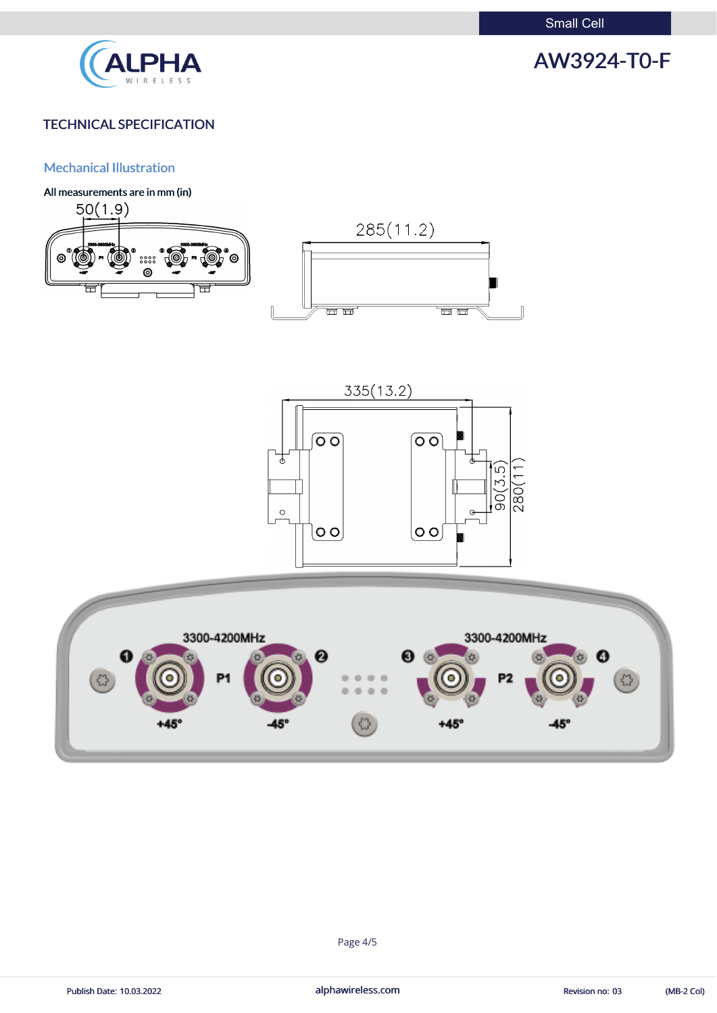Small Cell



## AW3924-T0-F

### TECHNICAL SPECIFICATION

### Mechanical Illustration

All measurements are in mm (in)









Publish Date: 10.03.2022 **alphawireless.com** and alphawireless.com Revision no: 03 (MB-2 Col)